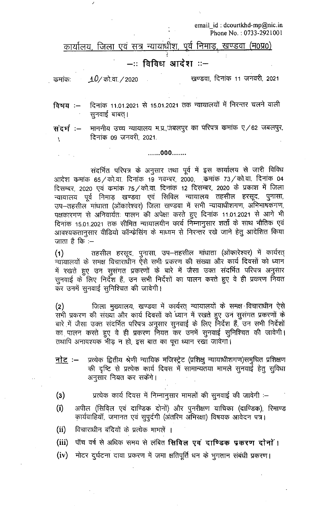email id: dcourtkhd-mp@nic.in Phone No.: 0733-2921001

कार्यालय, जिला एवं सत्र न्यायाधीश, पूर्व निमाड, खण्डवा (म0प्र0)

## –:: विविध आदेश ::–

खण्डवा, दिनांक 11 जनवरी, 2021  $10/$  को वा  $/$  2020 कमांकः

दिनांक 11.01.2021 से 15.01.2021 तक न्यायालयों में निरन्तर चलने वाली विषय $:=$ सुनवाई बाबत्।

माननीय उच्च न्यायालय म.प्र.,जंबलपुर का परिपत्र कमांक ए/62 जबलपुर, संदर्भ :-दिनांक 09 जनवरी, 2021. V

## .......000.......

संदर्भित परिपत्र के अनुसार तथा पूर्व में इस कार्यालय से जारी विविध आदेश कमांक 65/को.वा. दिनांक 19 नवम्बर, 2000, कमांक 73/को.वा. दिनांक 04 दिसम्बर, 2020 एवं कमांक 75 ⁄ को.वा. दिनांक 12 दिसम्बर, 2020 के प्रकाश में जिला न्यायालय पूर्व निमाड़ खण्डवा एवं सिविल न्यायालय तहसील हरसूद, पुनासा, उप–तहसील मांधाता (ओंकारेश्वर) जिला खण्डवा में सभी न्यायाधीशगण, अभिभाषकगण, पक्षकारगण से अनिवार्यतः पालन की अपेक्षा करते हुए दिनांक 11.01.2021 से आगे भी दिनांक 15.01.2021 तक सीमित न्यायालयीन कार्य निम्नानुसार शर्तों के साथ भौतिक एवं आवश्यकतानुसार वीडियो कॉन्फ्रेसिंग के माध्यम से निरन्तर रखे जाने हेतु आदेशित किया जाता है कि $-$ 

(1) तहसील हरसूद, पुनासा, उप–तहसील मांधाता (ओंकारेश्वर) में कार्यरत्<br>न्यायालयों के समक्ष विचाराधीन ऐसे सभी प्रकरण की संख्या और कार्य दिवसों को ध्यान में रखते हुए उन सुसंगत प्रकरणों के बारे में जैसा उक्त संदर्भित परिपत्र अनुसार सुनवाई के लिए निर्देश हैं, उन सभी निर्देशों का पालन करते हुए वे ही प्रकरण नियत कर उनमें सुनवाई सुनिश्चित की जावेगी।

जिला मुख्यालय, खण्डवा में कार्यरत् न्यायालयों के समक्ष विचाराधीन ऐसे  $(2)$ सभी प्रकरण की संख्या और कार्य दिवसों को ध्यान में रखते हुए उन सूसंगत प्रकरणों के बारे में जैसा उक्त संदर्भित परिपत्र अनुसार सुनवाई के लिए निर्देश हैं, उन सभी निर्देशों का पालन करते हुए वे ही प्रकरण नियत कर उनमें सुनवाई सुनिश्चित की जावेगी। तथापि अनावश्यक भीड़ न हो, इस बात का पूरा ध्यान रखा जावेगा।

- प्रत्येक द्वितीय श्रेणी न्यायिक मजिस्ट्रेट (प्रशिक्षु न्यायाधीशगण)समुचित प्रशिक्षण <u>नोट</u> :– की दृष्टि से प्रत्येक कार्य दिवस में सामान्यतया मामले सूनवाई हेतु सुविधा अनुसार नियत कर सकेंगे।
- $(3)$ प्रत्येक कार्य दिवस में निम्नानुसार मामलों की सुनवाई की जावेगी :–
- $(i)$ अपील (सिविल एवं दाण्डिक दोनों) और पुनरीक्षण याचिका (दाण्डिक), रिमाण्ड कार्यवाहियाँ, जमानत एवं सुपुर्दगी (अंतरिम ॲभिरक्षा) विषयक आवेदन पत्र।
- विचाराधीन बंदियों के प्रत्येक मामलें ।  $(ii)$
- पॉच वर्ष से अधिक समय से लंबित सिविल एवं दाण्डिक प्रकरण दोनों।  $(iii)$
- $(iv)$ मोटर दुर्घटना दावा प्रकरण में जमा क्षतिपूर्ति धन के भुगतान संबंधी प्रकरण।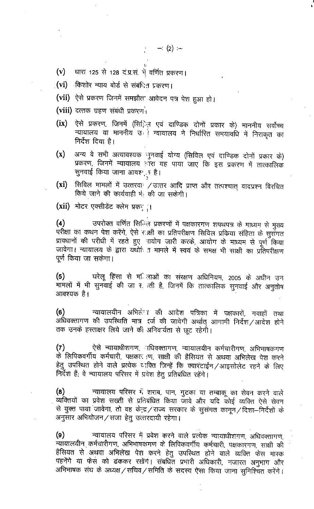$- (2) -$ 

- (v) धारा 125 से 128 दं.प्र.सं. भें वर्णित प्रकरण।
- **(vi)** किशोर न्याय बोर्ड से संबंधित प्रकरण।
- (vii) ऐसे प्रकरण जिनमें समझौत आवेदन पत्र पेश हुआ हो।
- (viii) दत्तक ग्रहण संबंधी प्रकरण<sup>1</sup>
- ऐसे प्रकरण, जिनमें (सििज़ एवं दाण्डिक दोनों प्रकार के) माननीय सर्वोच्च  $(ix)$ न्यायालय या माननीय उत्तर न्यायालय ने निर्धारित समयावधि में निराकृत का निर्देश दिया है।
- अन्य वे सभी अत्यावश्यक मुनवाई योग्य (सिविल एवं दाण्डिक दोनों प्रकार के)  $(x)$ प्रकरण, जिनमें न्यायालय हाँरा यह पाया जाए कि इस प्रकरण में तात्कालिक सुनवाई किया जाना आवश<sub>्र</sub> है।
- सिविल मामलों में उत्तरवा / उत्तर आदि प्राप्त और तत्पश्चात् वादप्रश्न विरचित  $(xi)$ किये जाने की कार्यवाही भें की जा सकेगी।

(xii) मोटर एक्सीडेंट क्लेम प्रकर्ा

उपरोक्त वर्णित सिनिन प्रकरणों में पक्षकारगण शपथपत्र के माध्यम से मुख्य  $(4)$ परीक्षा का कथन पेश करेंगे, ऐसे राक्षी का प्रतिपरीक्षण सिविल प्रकिया संहिता के सुसँगत प्रावधानों की परीधी में रहते हुए भायोग जारी करके, आयोग के माध्यम से पूर्ण किया जावेगा। न्यायालय के द्वारा यथो़ी त मामले में स्वयं के समक्ष भी साक्षी का प्रतिपरीक्षण पूर्ण किया जा सकेगा।

घरेलू हिंसा से मनिजाओं का संरक्षण अधिनियम, 2005 के अधीन उन  $(5)$ मामलों में भी सुनवाई की जा र ग्ती है, जिनमें कि तात्कालिक सुनवाई और अनुतोष आवश्यक है।

न्यायालयीन अभिलेन की आदेश पत्रिका में पक्षकारों, गवाहों तथा  $(6)$ अधिवक्तागण की उपस्थिति मात्र दर्ज की जावेगी अर्थात् आगामी निर्देश ⁄ आदेश होने तक उनके हस्ताक्षर लिये जाने की अनिवार्यता से छूट रहेगी।

ऐसे न्यायाधीशगण, ाधिवक्तागण, न्यायालयीन कर्मचारीगण, अभिभाषकगण  $(7)$ के लिपिकवर्गीय कर्मचारी, पक्षकार एप, साक्षी की हैसियत से अथवा अभिलेख पेश करने हेतु उपस्थित होने वाले प्रत्येक व्यक्ति जिन्हें कि क्वारंटाईन /आइसोलेट रहने के लिए निर्देश हैं; वे न्यायालय परिसर में प्रवेश हेतु प्रतिबंधित रहेंगे।

न्यायालय परिसर में शराब, पान, गुटका या तम्बाकू का सेवन करने वाले  $(8)$ व्यक्तियों का प्रवेश सख्ती से प्रतिबंधित किया जावे और यदि कोई व्यक्ति ऐसे सेवन से युक्त पाया जावेगा, तो वह केन्द्र / राज्य सरकार के सुसंगत कानून / दिशा--निर्देशों के अनुसार अभियोजन / सजा हेतु उत्तरदायी रहेगा।

न्यायालय परिसर में प्रवेश करने वाले प्रत्येक न्यायाधीशगण, अधिवक्तागण,  $(9)$ न्यायालयीन कर्मचारीगण, अभिभाषकगण के लिपिकवर्गीय कर्मचारी, पक्षकारगण, साक्षी की हैंसियत से अथवा अभिलेख पेश करने हेतु उपस्थित होने वाले व्यक्ति फेस मास्क पहनेंगे या फेस को ढंककर रखेंगे। संबधित प्रभारी अधिकारी, नजारत अनुभाग और अभिभाषक संघ के अध्यक्ष / सचिव / समिति के सदस्य ऐसा किया जाना सुनिश्चित करेंगे।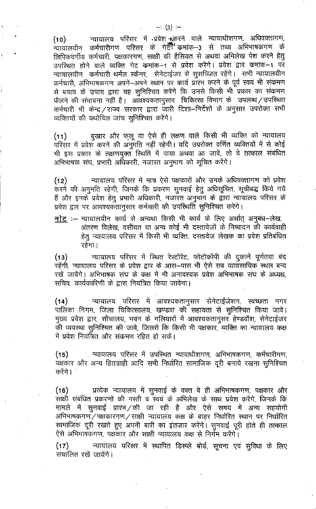न्यायालय परिसर में प्रवेश क्लरने वाले न्यायाधीशगण, अधिवक्तागण,  $(10)$ ्.<br>न्यायालयीन कर्मचारीगण परिसर के गेटरूँ क्रमांक–3 से तथा अभिभाषकगण के लिपिकवर्गीय कर्मचारी, पक्षकारगण, साक्षी की हैसियत से अथवां अभिलेख पेश करने हेतू उपस्थित होने वाले व्यक्ति गेट कमांक–1 से प्रवेश करेंगे। प्रवेश द्वार कमांक–1 पर न्यायालयीन कर्मचारी थर्मल स्कैनर, सेनेटाईजर से सूसज्जित रहेंगे। सभी न्यायालयीन कर्मचारी, अभिभाषकगण अपने—अपने स्थान पर कार्य प्रारंभ करने के पूर्व स्वयं भी संक्रमण से बचाव के उपाय द्वारा यह सुनिश्चित करेंगे कि उनसे किसी भी प्रकार का संक्रमण फैलने की संभावना नहीं है। आवश्यकतानुसार चिकित्सा विभाग के उपलब्ध / उपस्थित कर्मचारी भी केन्द्र / राज्य सरकार द्वारा जारी दिशा–निर्देशों के अनुसार उपरोक्त सभी व्यक्तियों की यथोचित जांच सुनिश्चित करेंगे।

बुखार और फ़लू या ऐसे ही लक्षण वाले किसी भी व्यक्ति को न्यायालय  $(11)$ परिसर में प्रवेश करने की अनुमति नहीं रहेगी। यदि उपरोक्त वर्णित व्यक्तियों में से कोई भी इस प्रकार के लक्षणयुक्त स्थिति में पाया अथवा आ जावें, तो वे तत्काल संबंधित अभिभाषक संघ, प्रभारी अधिकारी, नजारत अनुभाग को सूचित करेंगे।

न्यायालय परिसर में मात्र ऐसे पक्षकारों और उनके अधिवक्तागण को प्रवेश  $(12)$ करने की अनुमति रहेगी, जिनके कि प्रकरण सुनवाई हेतु अधिसूचित, सूचीबद्ध किये गये हैं और इनके प्रवेश हेतु प्रभारी अधिकारी, नजारत अनुभाग के द्वारा न्यायालय परिसर के प्रवेश द्वार पर आवश्यकतानुसार कर्मचारी की उपस्थिति सुनिश्चित करेंगे।

नोट: – न्यायालयीन कार्य से अन्यथा किसी भी कार्य के लिए अर्थात अनुबंध-लेख, अंतरण विलेख, वसीयत या अन्य कोई भी दस्तावेजों के निष्पादन की कार्यवाही हेतु न्यायालय परिसर में किसी भी व्यक्ति, दस्तावेज लेखक का प्रवेश प्रतिबंधित रहेगा।

न्यायालय परिसर में स्थित रेस्टोरेंट, फोटोकॉपी की दुकानें पूर्णतया बंद  $(13)$ रहेंगी, न्यायालय परिसर के प्रवेश द्वार के आस–पास भी ऐसे सब व्यावसायिक स्थल बन्द रखें जावेंगे। अभिभाषक संघ के कक्ष में भी अनावश्यक प्रवेश अभिभाषक संघ के अध्यक्ष. सचिव, कार्यकारिणी के द्वारा नियंत्रित किया जावेगा।

 $(14)$ न्यायालय परिसर में आवश्यकतानुसार सेनेटाईजेशन, स्वच्छता नगर पालिका निगम, जिला चिकित्सालय, खण्डवा की सहायता से सुनिश्चित किया जावे। मुख्य प्रवेश द्वार, शौचालय, भवन के गलियारों में आवश्यकतानुसर हेण्डवॉश, सेनेटाईजर की व्यवस्था सुनिश्चित की जावे, जिससे कि किसी भी पक्षकार, व्यक्ति का न्यायालय कक्ष में प्रवेश नियंत्रित और संक्रमण रहित हो सकें।

न्यायालय परिसर में उपस्थित न्यायाधीशगण, अभिभाषकगण, कर्मचारीगण,  $(15)$ पक्षकार और अन्य हितग्राही आदि सभी निर्धारित सामाजिक दूरी बनाये रखना सुनिश्चित करेंगे ।

प्रत्येक न्यायालय में सुनवाई के वक्त वे ही अभिभाषकगण, पक्षकार और  $(16)$ साक्षी संबंधित प्रकरणों की नस्ती व स्वयं के अभिलेख के साथ प्रवेश करेंगे, जिनके कि मामले में सुनवाई प्रारंभ /की जा रही है और ऐसे समय में अन्य सहयोगी अभिभाषकगण/पक्षकारगण/साक्षी न्यायालय कक्ष के बाहर निर्धारित स्थान पर निर्धारित सामाजिक दूरी रखते हुए अपनी बारी का इंतजार करेंगे। सुनवाई पूरी होते ही तत्काल ऐसे अभिभाषकगण, पक्षकार और साक्षी न्यायालय कक्ष से निर्गम करेंगे।

न्यायालय परिसर में स्थापित डिस्प्ले बोर्ड, सूचना एवं सुविधा के लिए  $(17)$ संचालित रखें जायेंगे।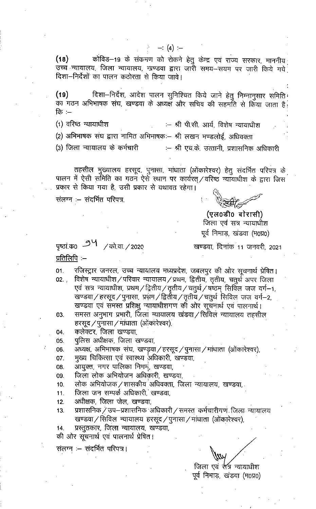कोविड—19 के संक्रमण को रोकने हेतु केन्द्र एवं राज्य सरकार, माननीय  $(18)$ उच्च न्यायालय, जिला न्यायालय, खण्डवा द्वारा जारी समय—सयम पर जारी किये गये<sup>.</sup> दिशा-निर्देशों का पालन कठोरता से किया जावे।

 $- (4) -$ 

दिशा-निर्देश, आदेश पालन सुनिश्चित किये जाने हेतु निम्नानुसार समिति।  $(19)$ का गठन अभिभाषक संघ, खण्डवा के अध्यक्ष और सचिव की सहमति से किया जाता है कि $-$ 

(1) वरिष्ठ न्यायाधीश :- श्री पी.सी. आर्य, विशेष न्यायाधीश

(2) अभिभाषक संघ द्वारा नामित अभिभाषकः— श्री लखन मण्डलोई, अधिवक्ता

(3) जिला न्यायालय के कर्मचारी :– श्री एच.के. उत्तानी, प्रशासनिक अधिकारी

तहसील मुख्यालय हरसूद, पुनासा, मांघाता (ओंकारेश्वर) हेतु संदर्भित परिपत्र के पालन में ऐसी समिति का गठन ऐसे स्थान पर कार्यरत् ⁄ वरिष्ठ न्यायाधीश के द्वारा जिस प्रकार से किया गया है, उसी प्रकार से यथावत रहेगा।

संलग्न :- संदर्भित परिपत्र.

(एल0डी0 बोरासी) जिला एवं सत्र न्यायाधीश पूर्व निमाड़, खंडवा (म0प्र0)

पृष्ठां क0 9<sup>4</sup> / को.वा. / 2020 प्रतिलिपि $:=$ 

खण्डवा, दिनांक 11 जनवरी, 2021

 $01.$ रजिस्ट्रार जनरल, उच्च न्यायालय मध्यप्रदेश, जबलपुर की ओर सूचनार्थ प्रेषित। विशेष न्यायाधीश ⁄ परिवार न्यायालय ⁄ प्रथम, द्वितीय, तृतीय, चतुर्थ अपर जिला  $02.$ एवं सत्र न्यायाधीश, प्रथम/द्वितीय/तृतीय/चतुर्थ/षष्ठम् सिर्विल जज वर्ग-1, खण्डवा / हरसूद / पुनासा, प्रथम / द्वितीय / तृतीय / चतुर्थ सिविल जज वर्ग-2, खण्डवा एवं समस्त प्रशिक्षु न्यायाधीशगण की ओर सूचनार्थ एवं पालनार्थ।

- समस्त अनुभाग प्रभारी, जिला न्यायालय खंडवा ⁄ सिविल न्यायालय तहसील 03. हरसूद / पुनासा / मांधाता (ओंकारेश्वर),
- कलेक्टर, जिला खण्डवा, 04.
- पुलिस अधीक्षक, जिला खण्डवा,  $05.$
- अध्यक्ष, अभिभाषक संघ, खण्ड़वा / हरसूद / पुनासा / मांधाता (ओंकारेश्वर), 06.
- मुख्य चिकित्सा एवं स्वास्थ्य अधिकारी, खण्डवा, 07.
- आयुक्त, नगर पालिका निगम, खण्डवा, 08.
- जिला लोक अभियोजन अधिक़ारी, खण्डवा, 09.
- लोक अभियोजक / शासकीय अधिवक्ता, जिला न्यायालय, खण्डवा,  $10.$
- जिला जन सम्पर्क अधिकारी, खण्डवा,  $11.$
- अधीक्षक, जिला जेल, खण्डवा,  $12.$
- प्रशासनिक / उप-प्रशासनिक अधिकारी / समस्त कर्मचारीगण जिला न्यायालय 13. खण्डवा / सिविल न्यायालय हरसूद / पुनासा / मांधाता (ओंकारेश्वर),
- प्रस्तुतकार, जिला न्यायालय, खण्डवा, 14.
- की ओर सूचनार्थ एवं पालनार्थ प्रेषित।

संलग्न :– संदर्भित परिपत्र।

जिला एवं सत्र न्यायाधीश पूर्व निमाड़, खंडवा (म0प्र0)